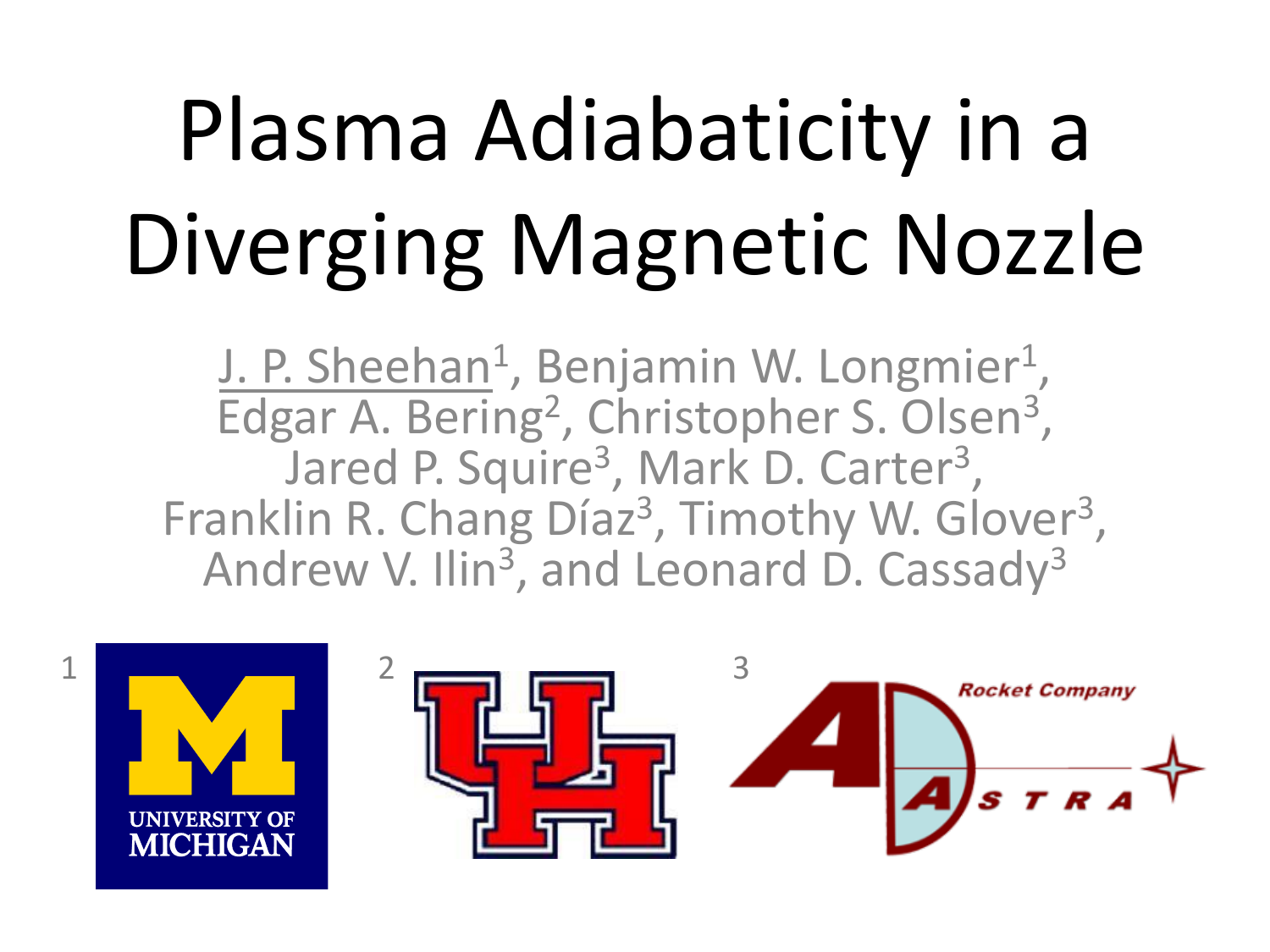# Plasma Adiabaticity in a Diverging Magnetic Nozzle

J. P. Sheehan<sup>1</sup>, Benjamin W. Longmier<sup>1</sup>, Edgar A. Bering<sup>2</sup>, Christopher S. Olsen<sup>3</sup>, Jared P. Squire<sup>3</sup>, Mark D. Carter<sup>3</sup>, Franklin R. Chang Díaz<sup>3</sup>, Timothy W. Glover<sup>3</sup>, Andrew V. Ilin<sup>3</sup>, and Leonard D. Cassady<sup>3</sup>

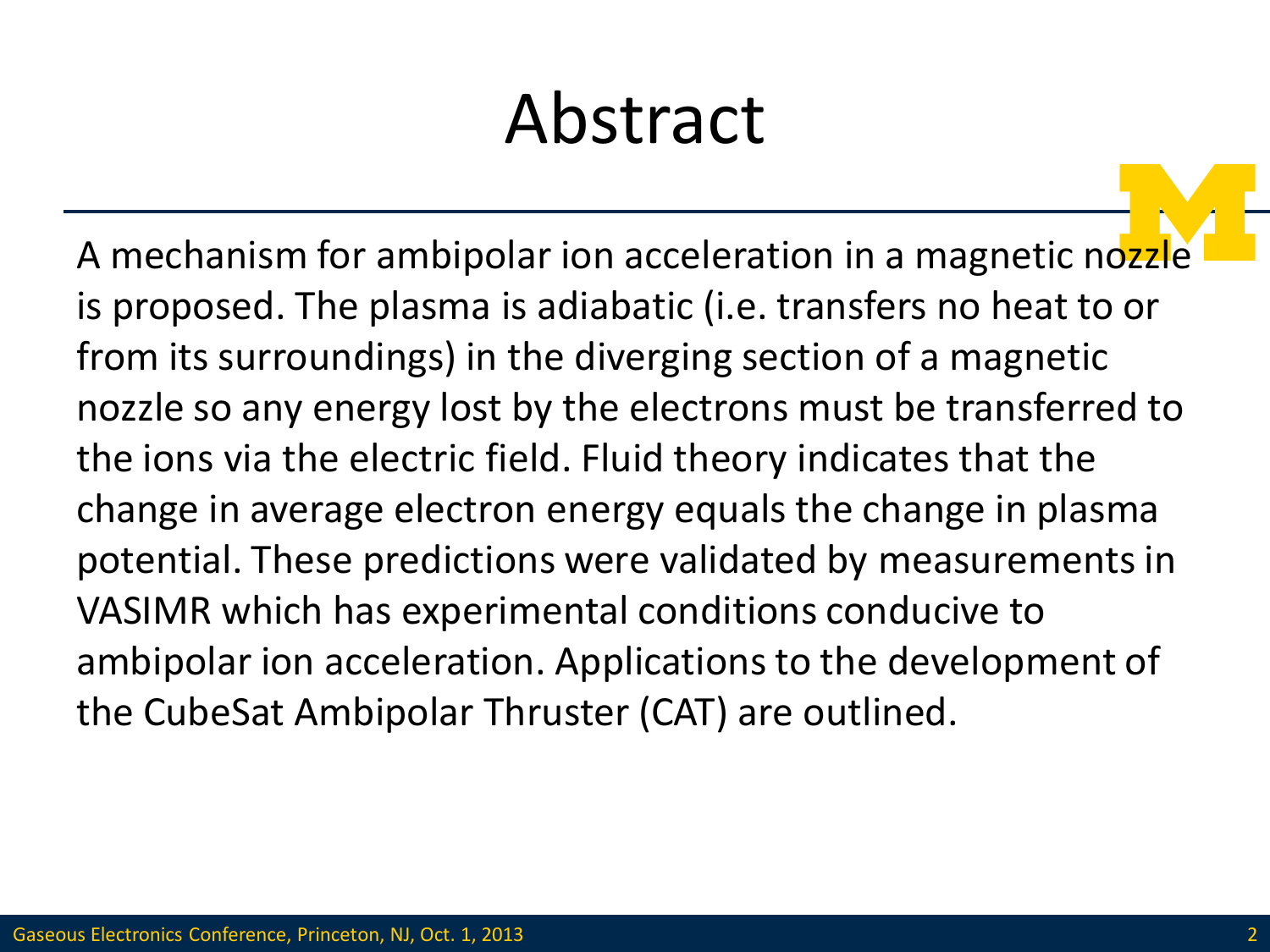#### Abstract

A mechanism for ambipolar ion acceleration in a magnetic nozzle is proposed. The plasma is adiabatic (i.e. transfers no heat to or from its surroundings) in the diverging section of a magnetic nozzle so any energy lost by the electrons must be transferred to the ions via the electric field. Fluid theory indicates that the change in average electron energy equals the change in plasma potential. These predictions were validated by measurements in VASIMR which has experimental conditions conducive to ambipolar ion acceleration. Applications to the development of the CubeSat Ambipolar Thruster (CAT) are outlined.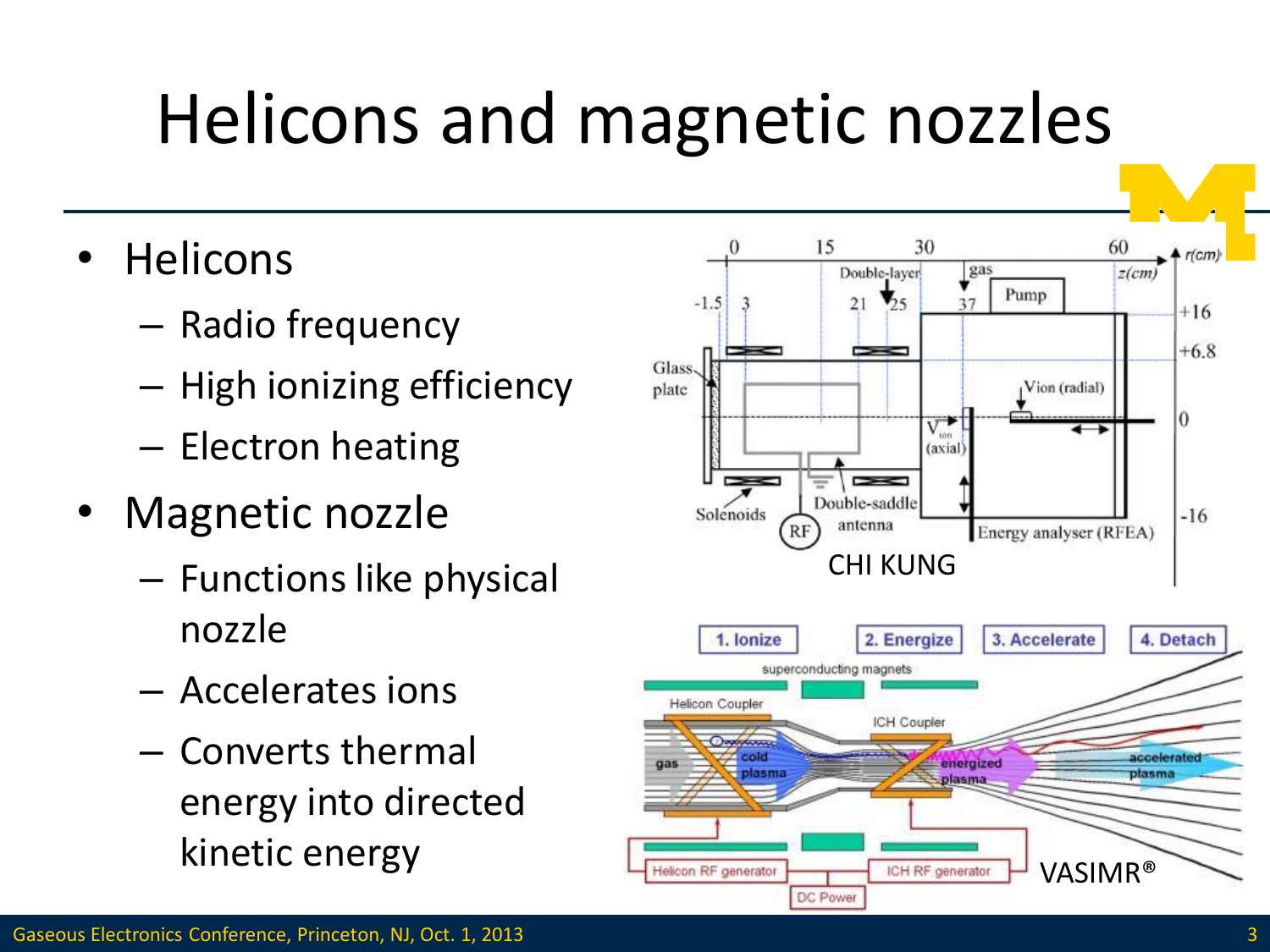### Helicons and magnetic nozzles

- Helicons
	- Radio frequency
	- High ionizing efficiency
	- Electron heating
- Magnetic nozzle
	- Functions like physical nozzle
	- Accelerates ions
	- Converts thermal energy into directed kinetic energy

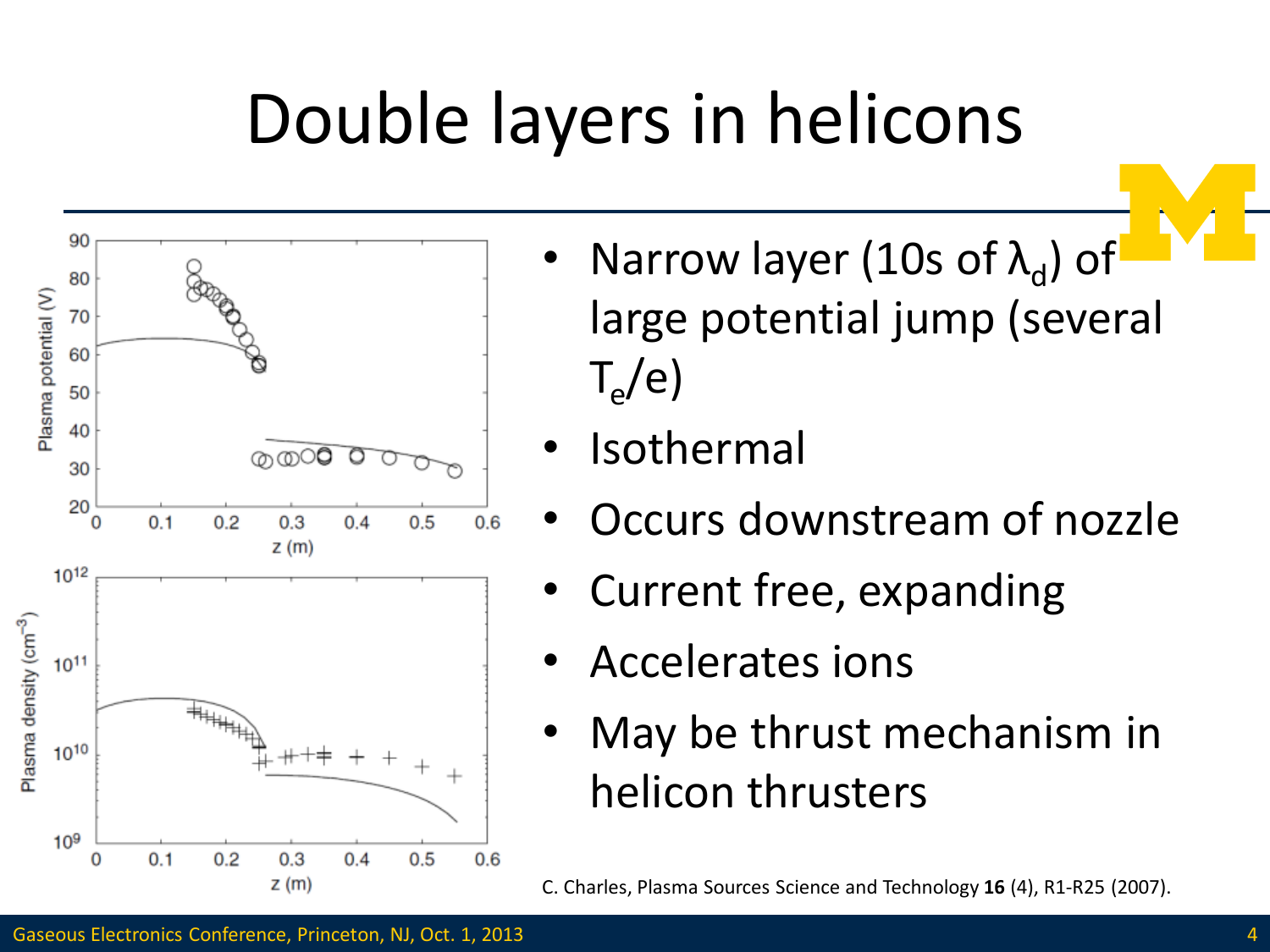### Double layers in helicons



- Narrow layer (10s of  $\lambda_d$ ) of large potential jump (several  $\mathsf{T_{e}}/\mathsf{e}$
- **Isothermal**
- Occurs downstream of nozzle
- Current free, expanding
- Accelerates ions
- May be thrust mechanism in helicon thrusters

C. Charles, Plasma Sources Science and Technology **16** (4), R1-R25 (2007).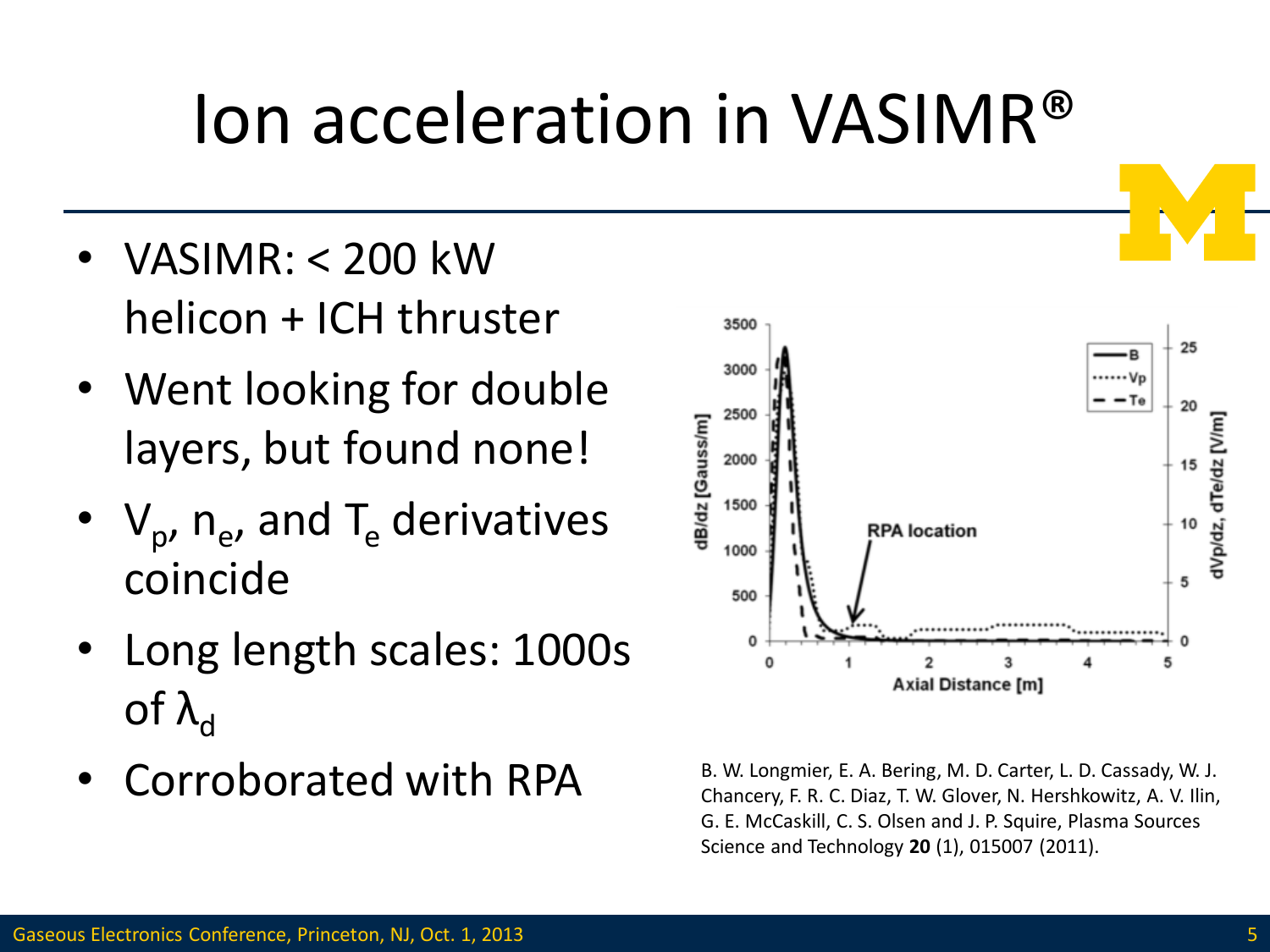#### Ion acceleration in VASIMR®

- VASIMR: < 200 kW helicon + ICH thruster
- Went looking for double layers, but found none!
- $V_p$ ,  $n_e$ , and T<sub>e</sub> derivatives coincide
- Long length scales: 1000s of  $λ_d$
- Corroborated with RPA



B. W. Longmier, E. A. Bering, M. D. Carter, L. D. Cassady, W. J. Chancery, F. R. C. Diaz, T. W. Glover, N. Hershkowitz, A. V. Ilin, G. E. McCaskill, C. S. Olsen and J. P. Squire, Plasma Sources Science and Technology **20** (1), 015007 (2011).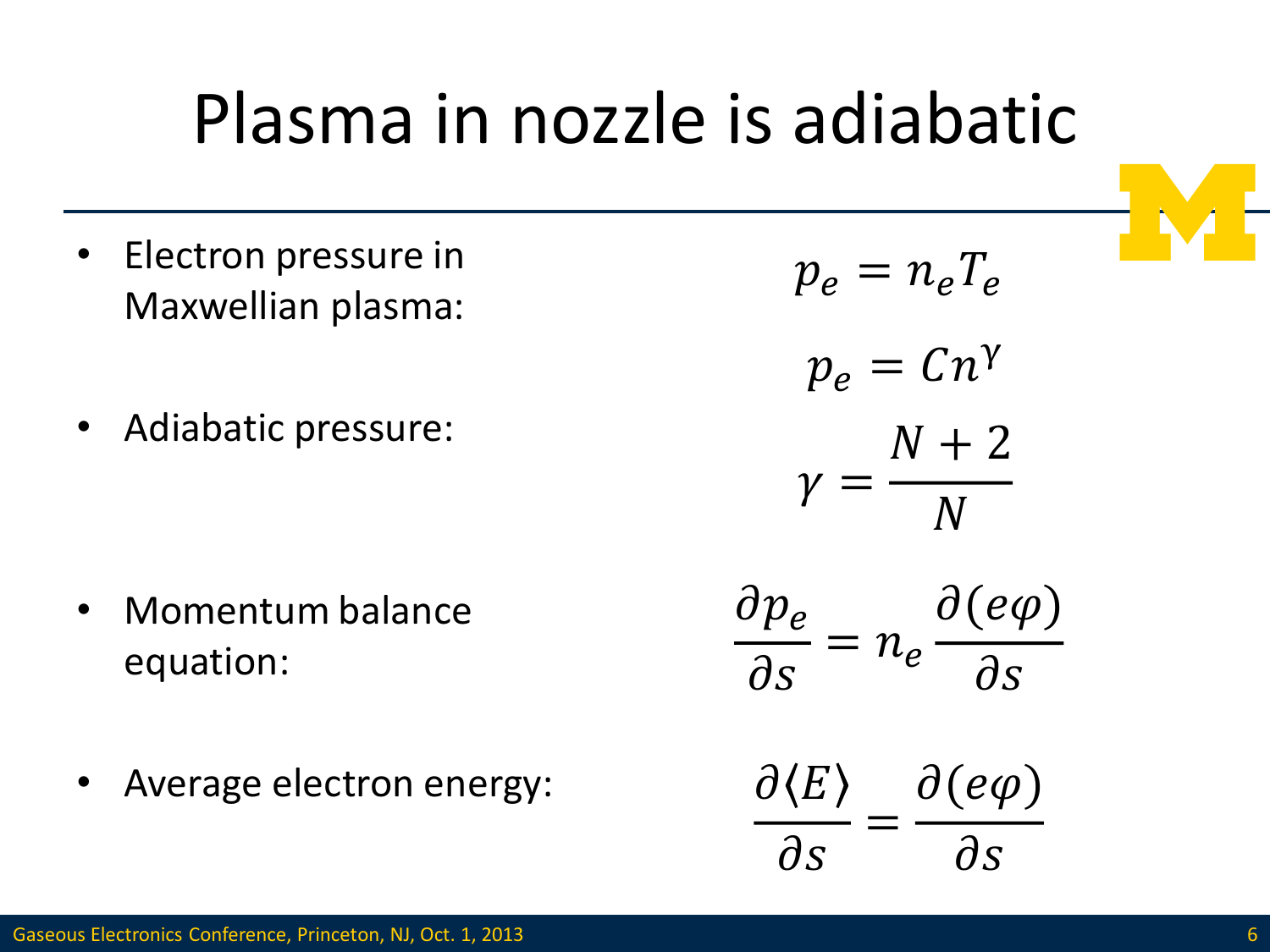### Plasma in nozzle is adiabatic

- Electron pressure in Maxwellian plasma:
- Adiabatic pressure:

- Momentum balance equation:
- Average electron energy:

$$
p_e = n_e T_e
$$
  
\n
$$
p_e = Cn^{\gamma}
$$
  
\n
$$
\gamma = \frac{N + 2}{N}
$$
  
\n
$$
\frac{\partial p_e}{\partial s} = n_e \frac{\partial (e\varphi)}{\partial s}
$$
  
\n
$$
\frac{\partial \langle E \rangle}{\partial s} = \frac{\partial (e\varphi)}{\partial s}
$$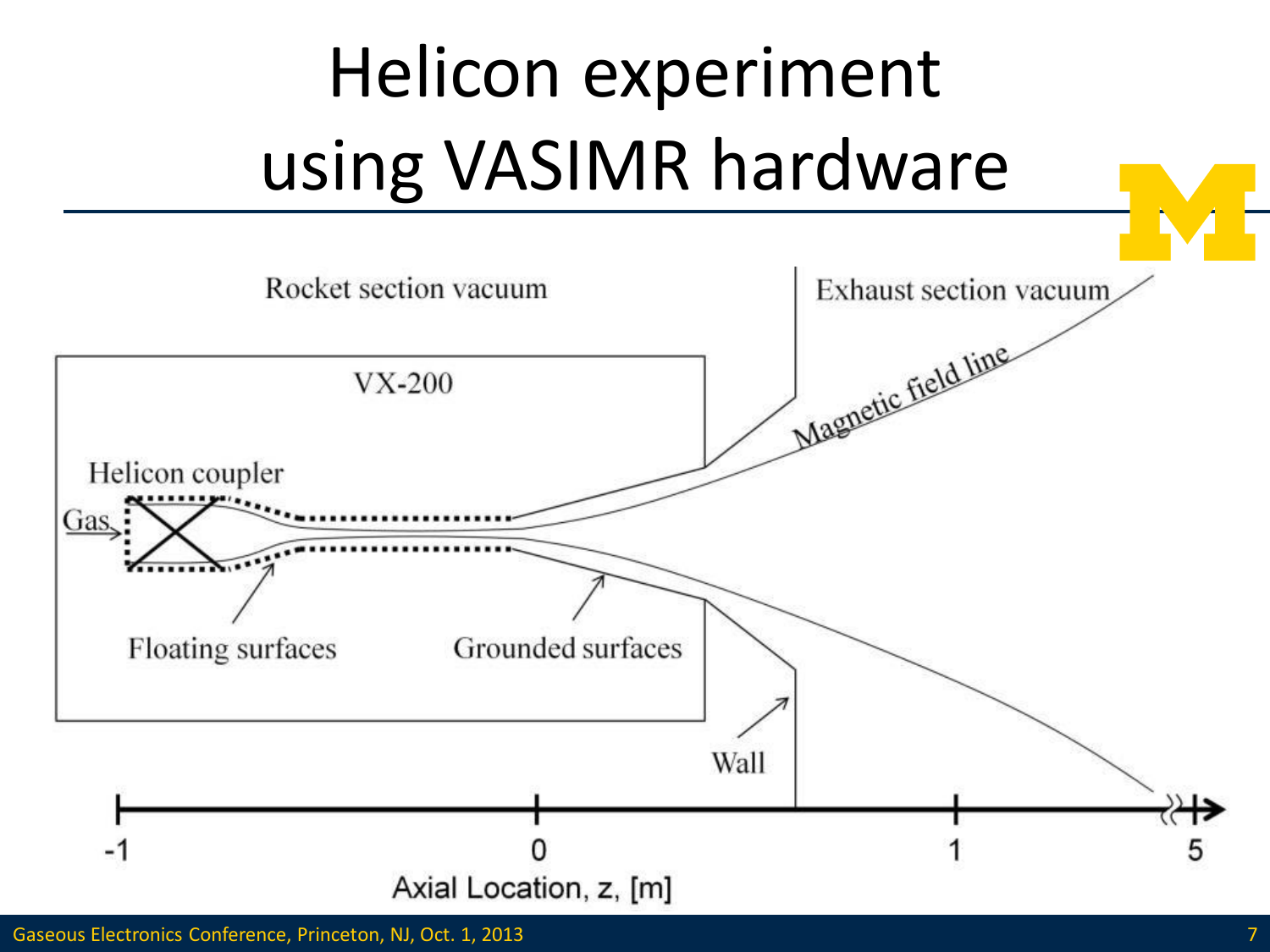# Helicon experiment using VASIMR hardware

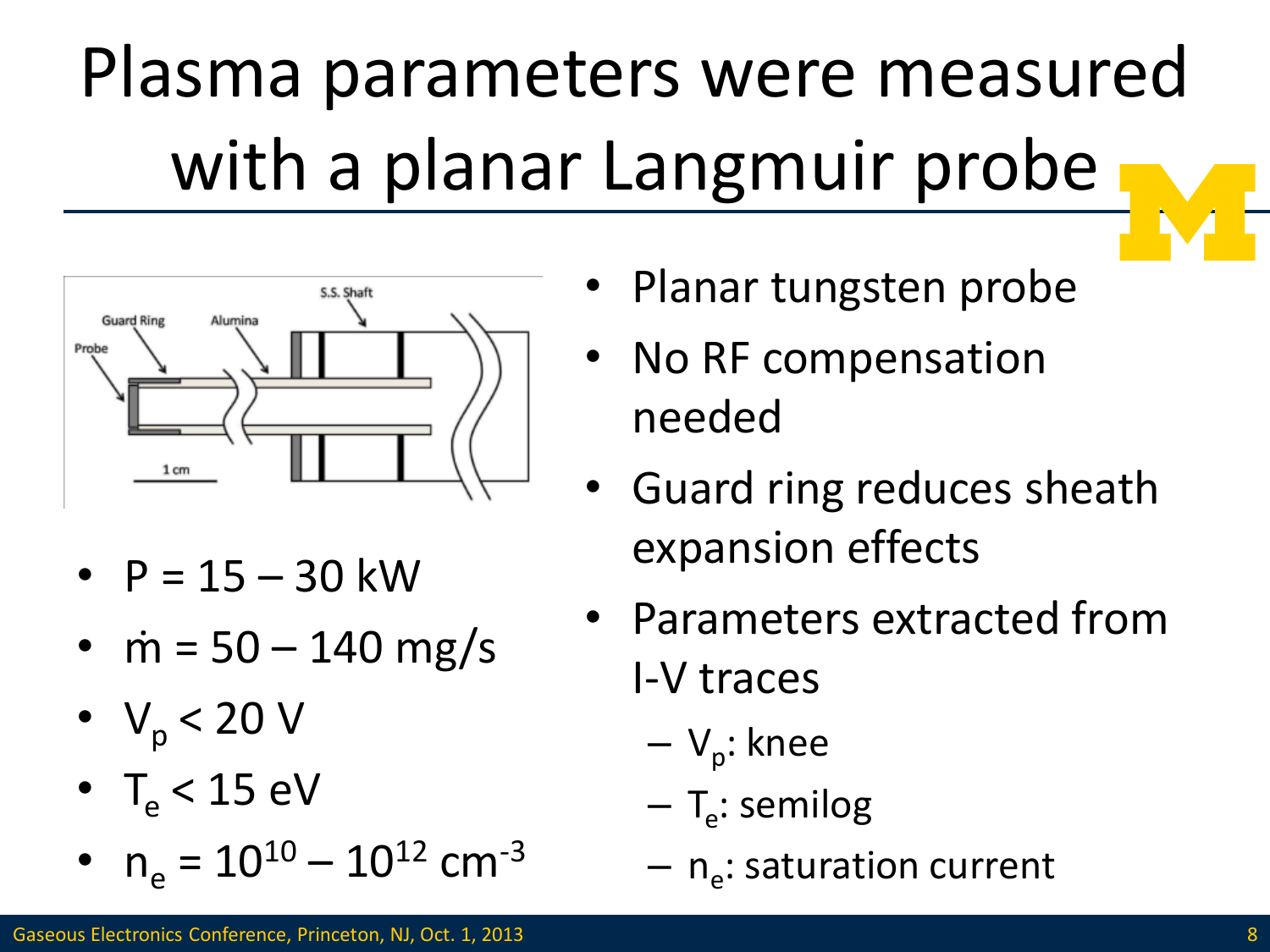# Plasma parameters were measured with a planar Langmuir probe



- $P = 15 30$  kW
- $\dot{m} = 50 140 \text{ mg/s}$
- $V_p < 20 V$
- $T_{\text{e}}$  < 15 eV
- $n_e = 10^{10} 10^{12}$  cm<sup>-3</sup>
- Planar tungsten probe
- No RF compensation needed
- Guard ring reduces sheath expansion effects
- Parameters extracted from I-V traces
	- V<sub>p</sub>: knee
	- T<sub>e</sub>: semilog
	- n<sub>e</sub>: saturation current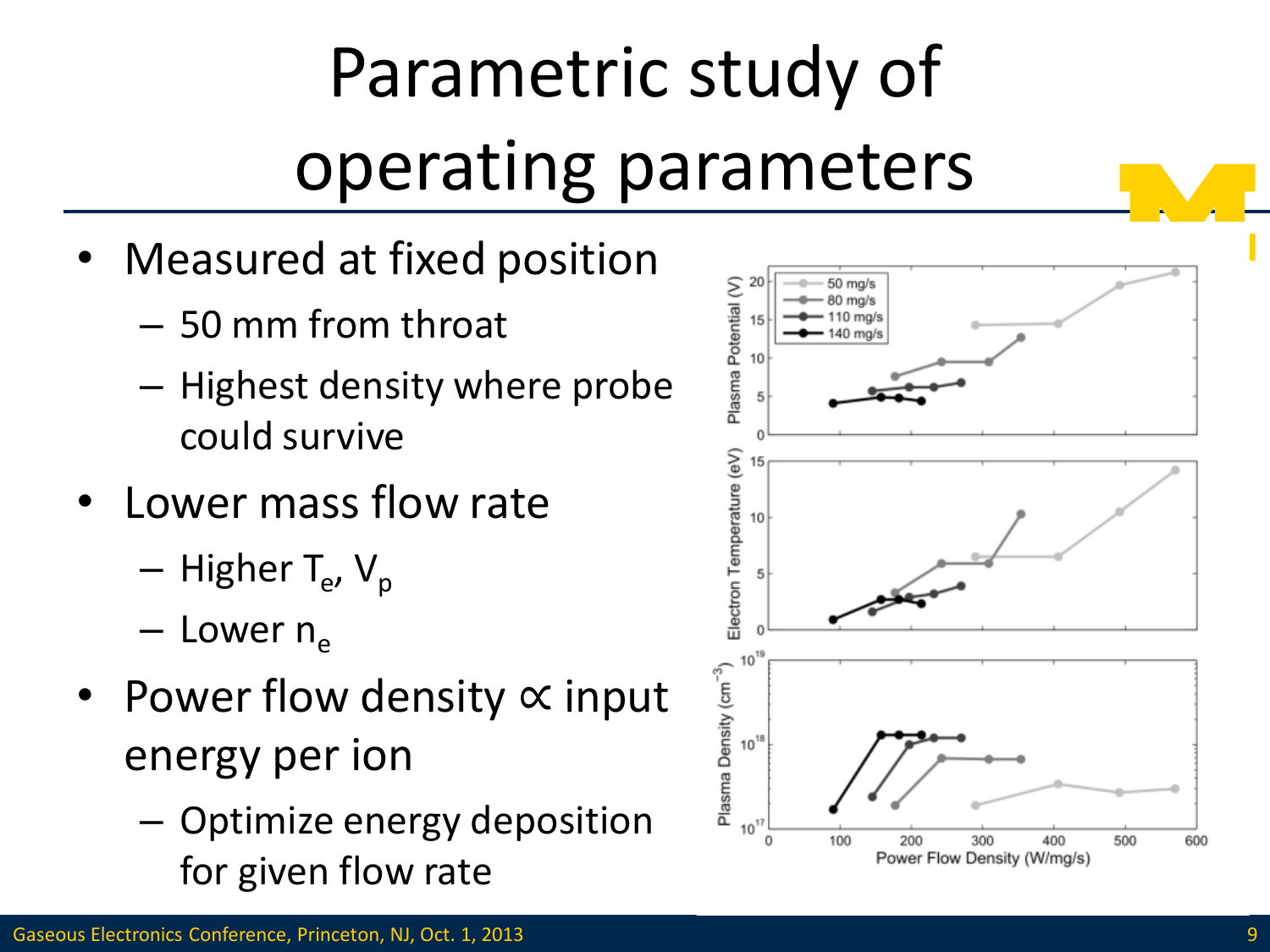# Parametric study of operating parameters

- Measured at fixed position
	- 50 mm from throat
	- Highest density where probe could survive
- Lower mass flow rate
	- Higher T<sub>e</sub>, V<sub>p</sub>
	- $-$  Lower  $n_e$
- Power flow density ∝ input energy per ion
	- Optimize energy deposition for given flow rate

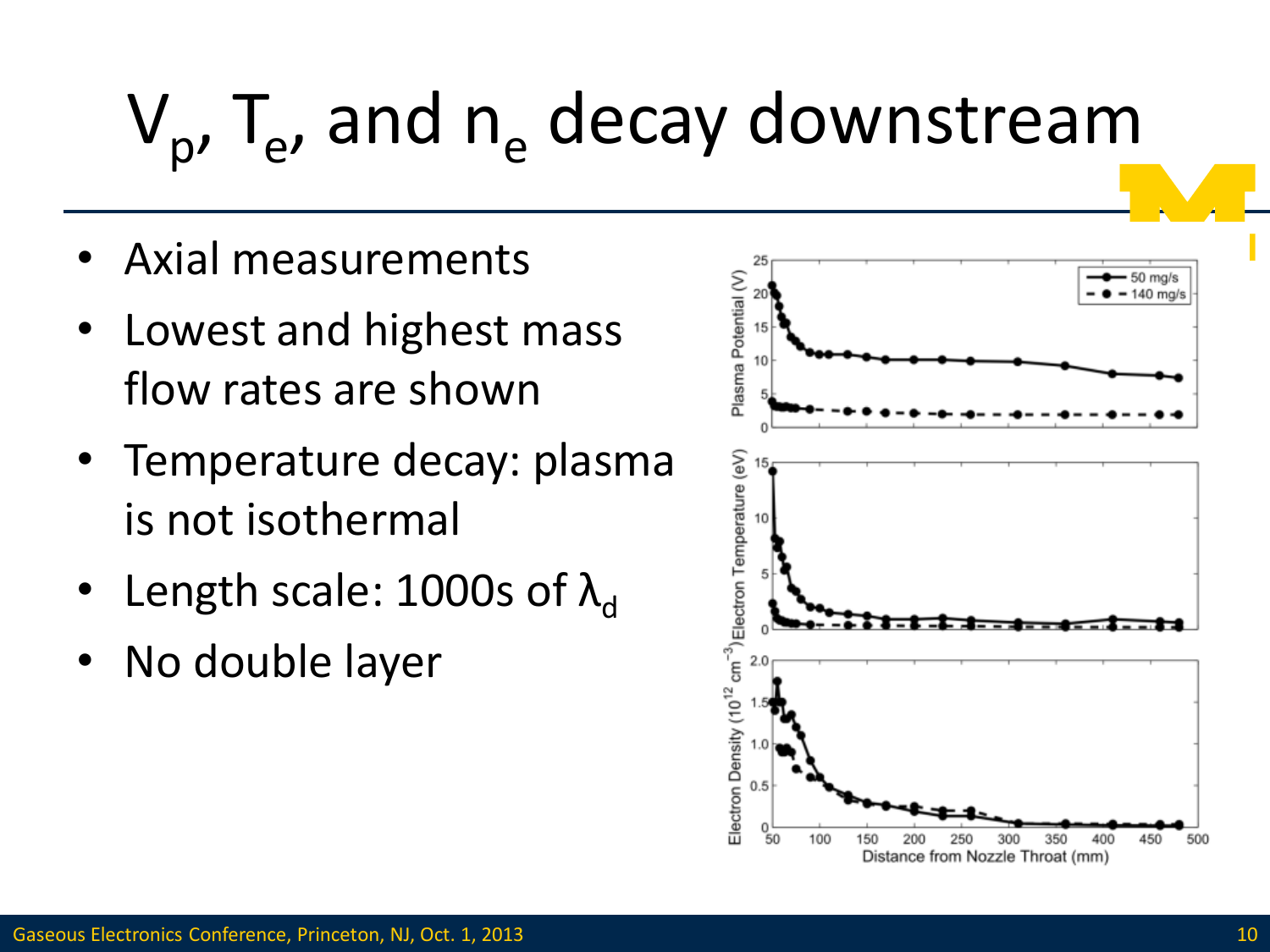# $V_p$ , T<sub>e</sub>, and n<sub>e</sub> decay downstream

- Axial measurements
- Lowest and highest mass flow rates are shown
- Temperature decay: plasma is not isothermal
- Length scale: 1000s of  $\lambda_{d}$
- No double layer

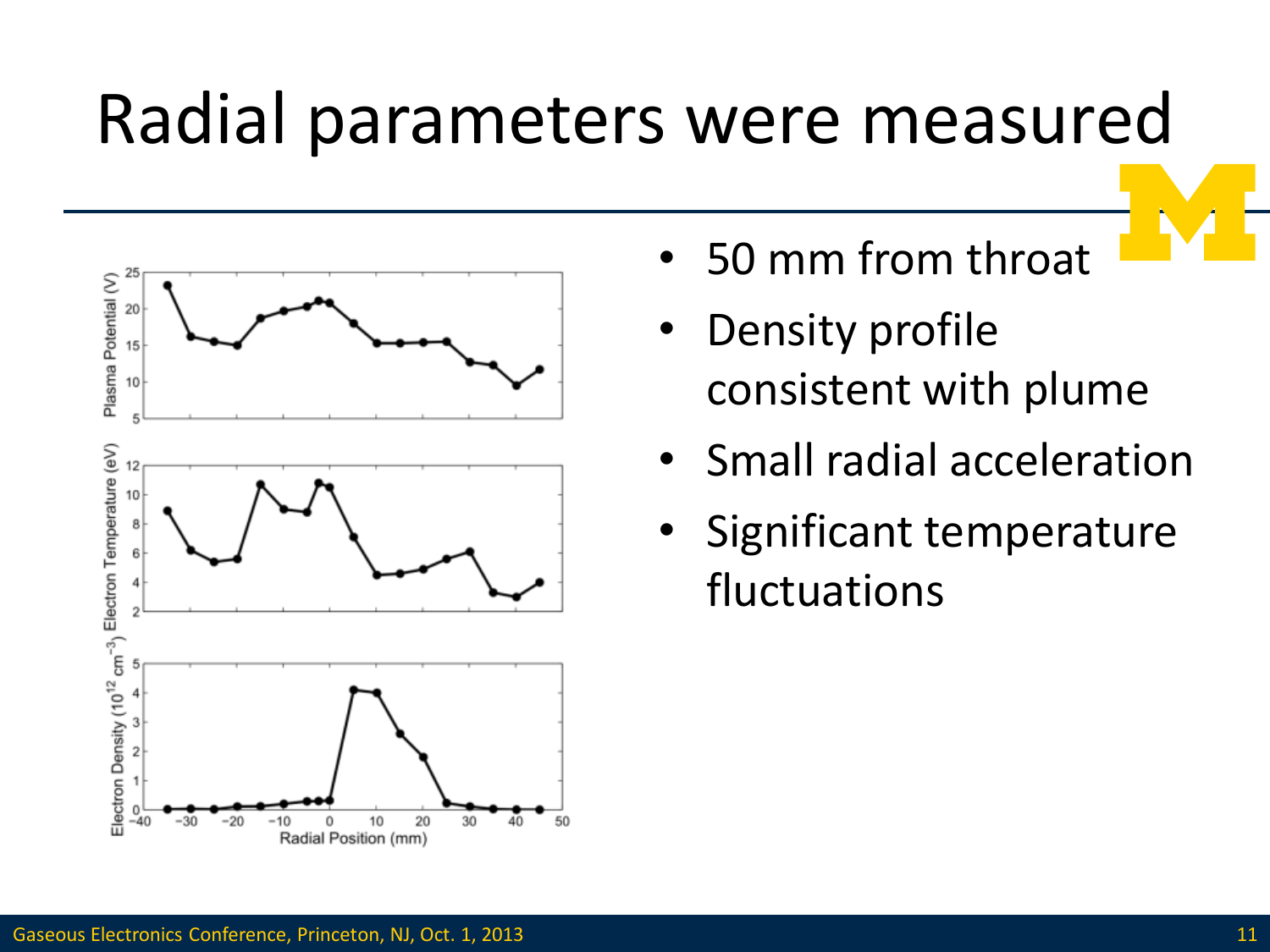#### Radial parameters were measured



- 50 mm from throat
- **Density profile** consistent with plume
- Small radial acceleration
- Significant temperature fluctuations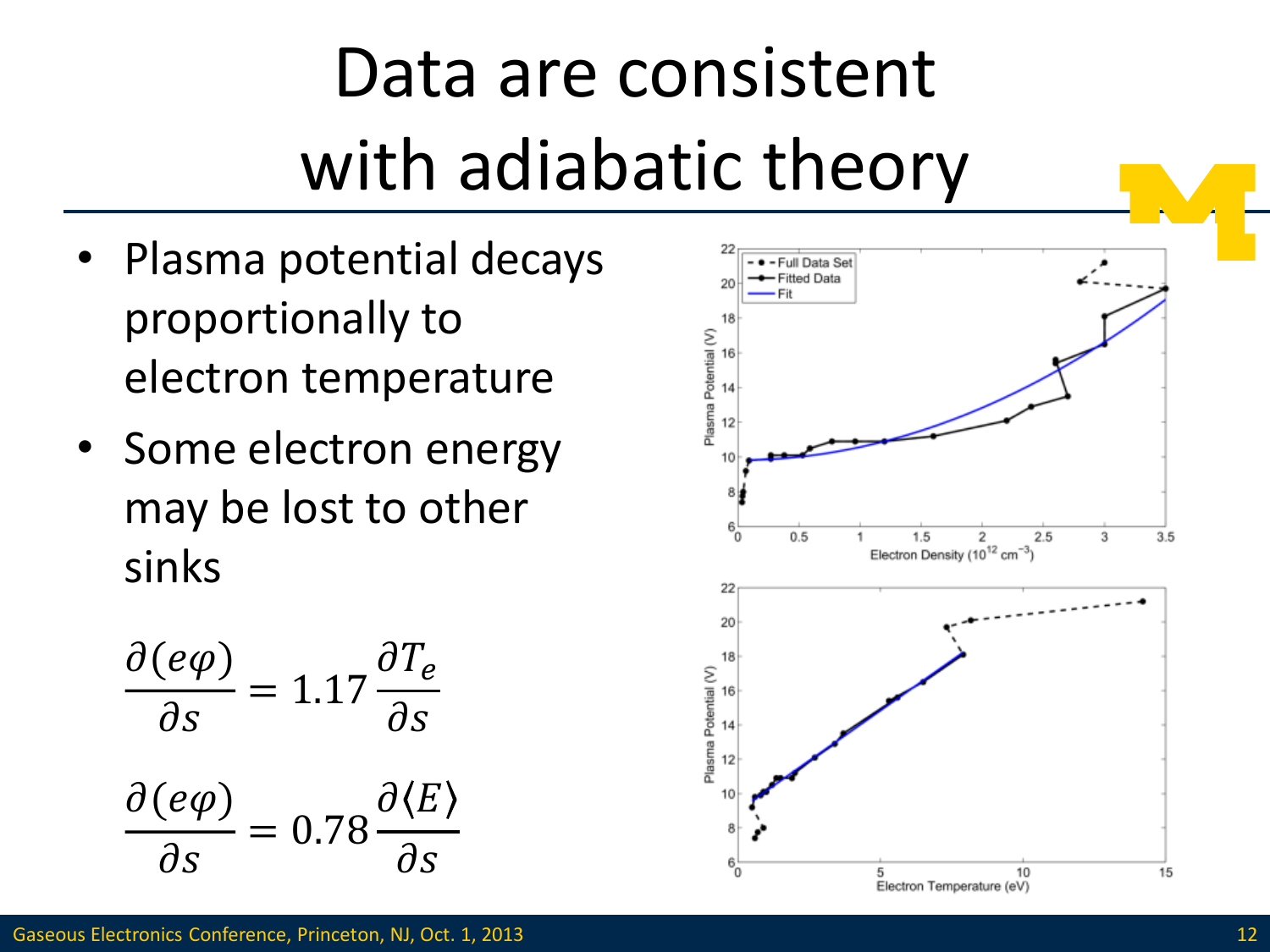### Data are consistent with adiabatic theory

- Plasma potential decays proportionally to electron temperature
- Some electron energy may be lost to other sinks

$$
\frac{\partial (e\varphi)}{\partial s} = 1.17 \frac{\partial T_e}{\partial s}
$$

$$
\frac{\partial (e\varphi)}{\partial s} = 0.78 \frac{\partial \langle E \rangle}{\partial s}
$$

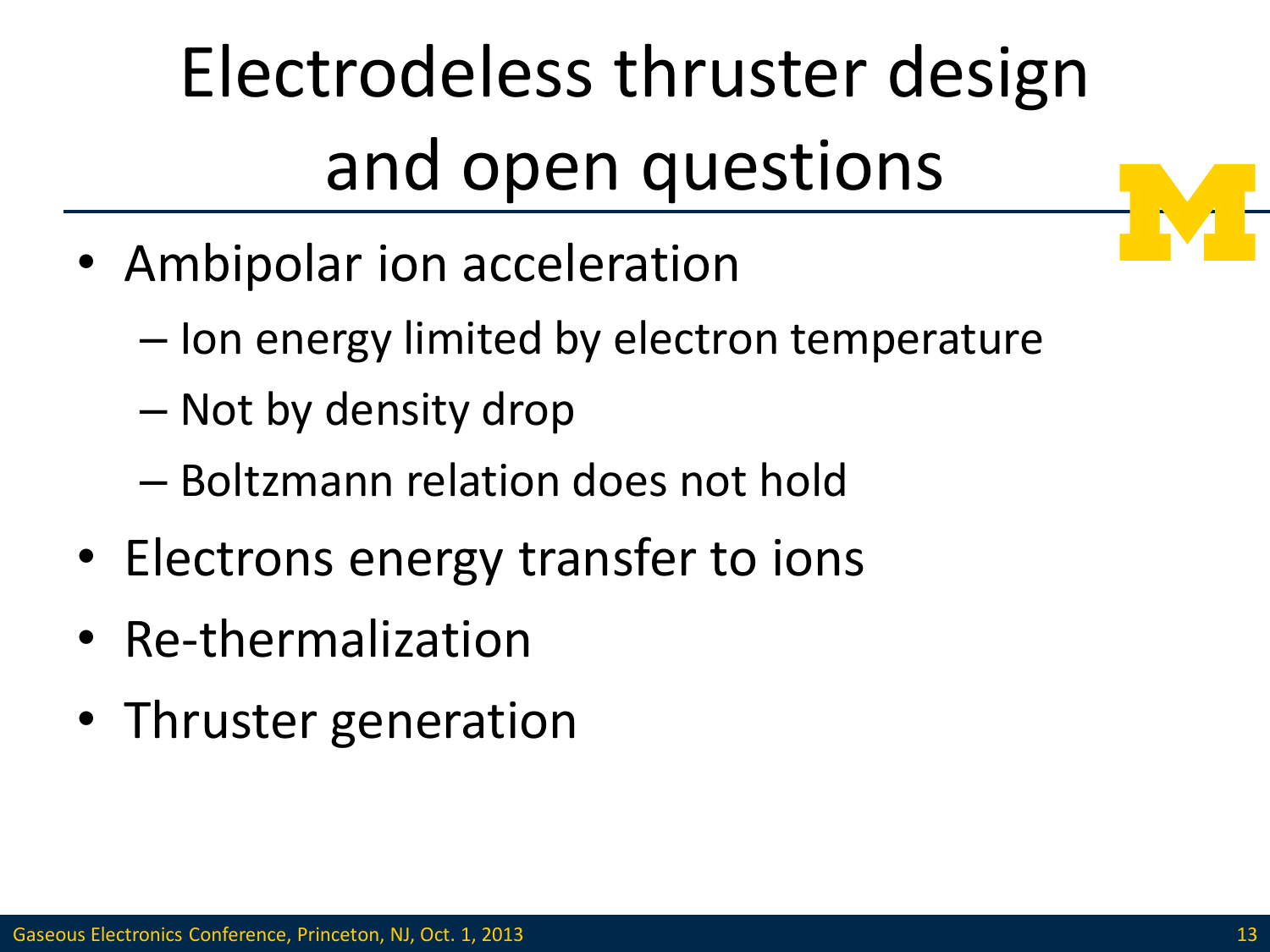# Electrodeless thruster design and open questions

- Ambipolar ion acceleration
	- Ion energy limited by electron temperature
	- Not by density drop
	- Boltzmann relation does not hold
- Electrons energy transfer to ions
- Re-thermalization
- Thruster generation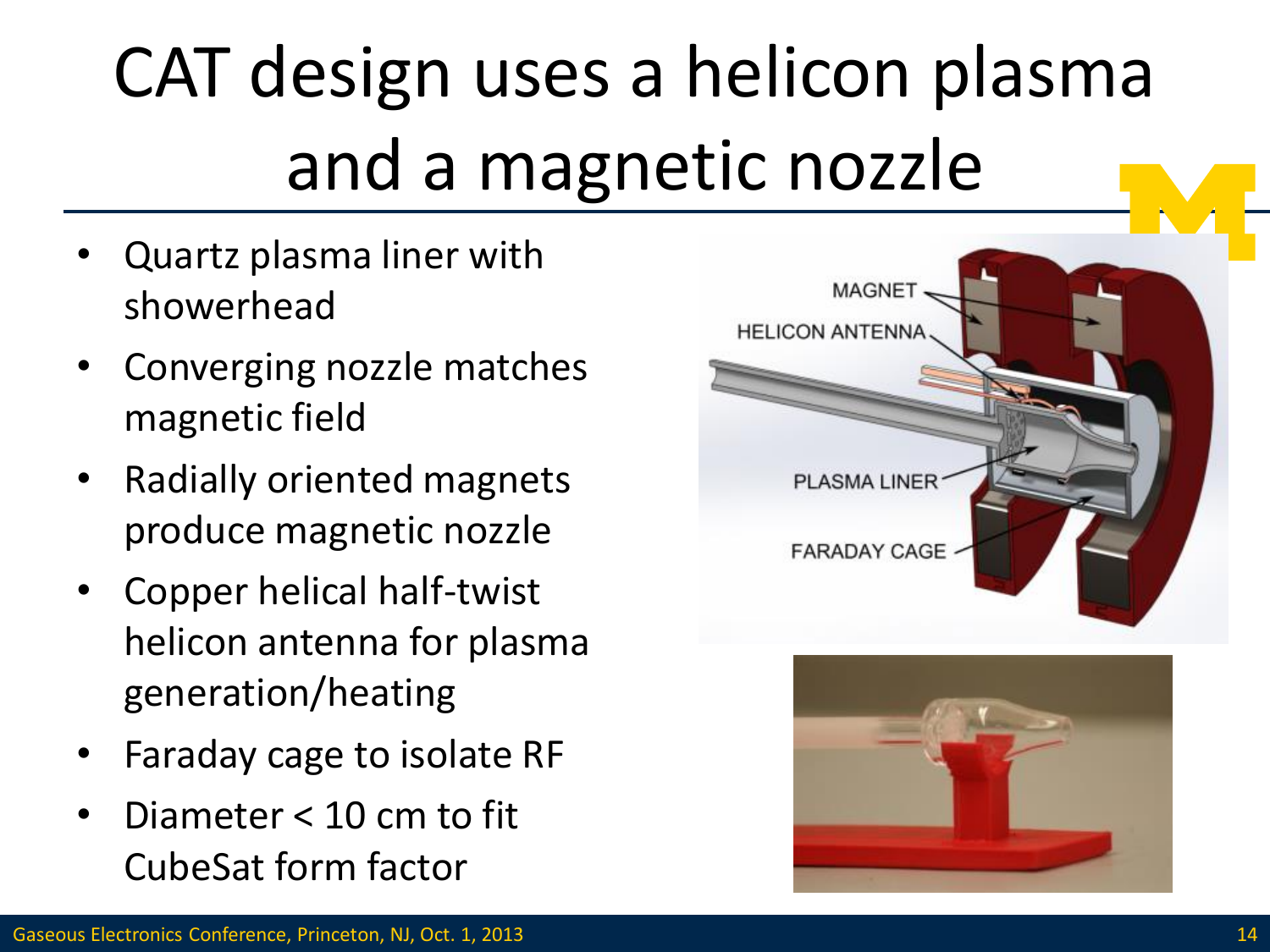# CAT design uses a helicon plasma and a magnetic nozzle

- Quartz plasma liner with showerhead
- Converging nozzle matches magnetic field
- Radially oriented magnets produce magnetic nozzle
- Copper helical half-twist helicon antenna for plasma generation/heating
- Faraday cage to isolate RF
- Diameter < 10 cm to fit CubeSat form factor



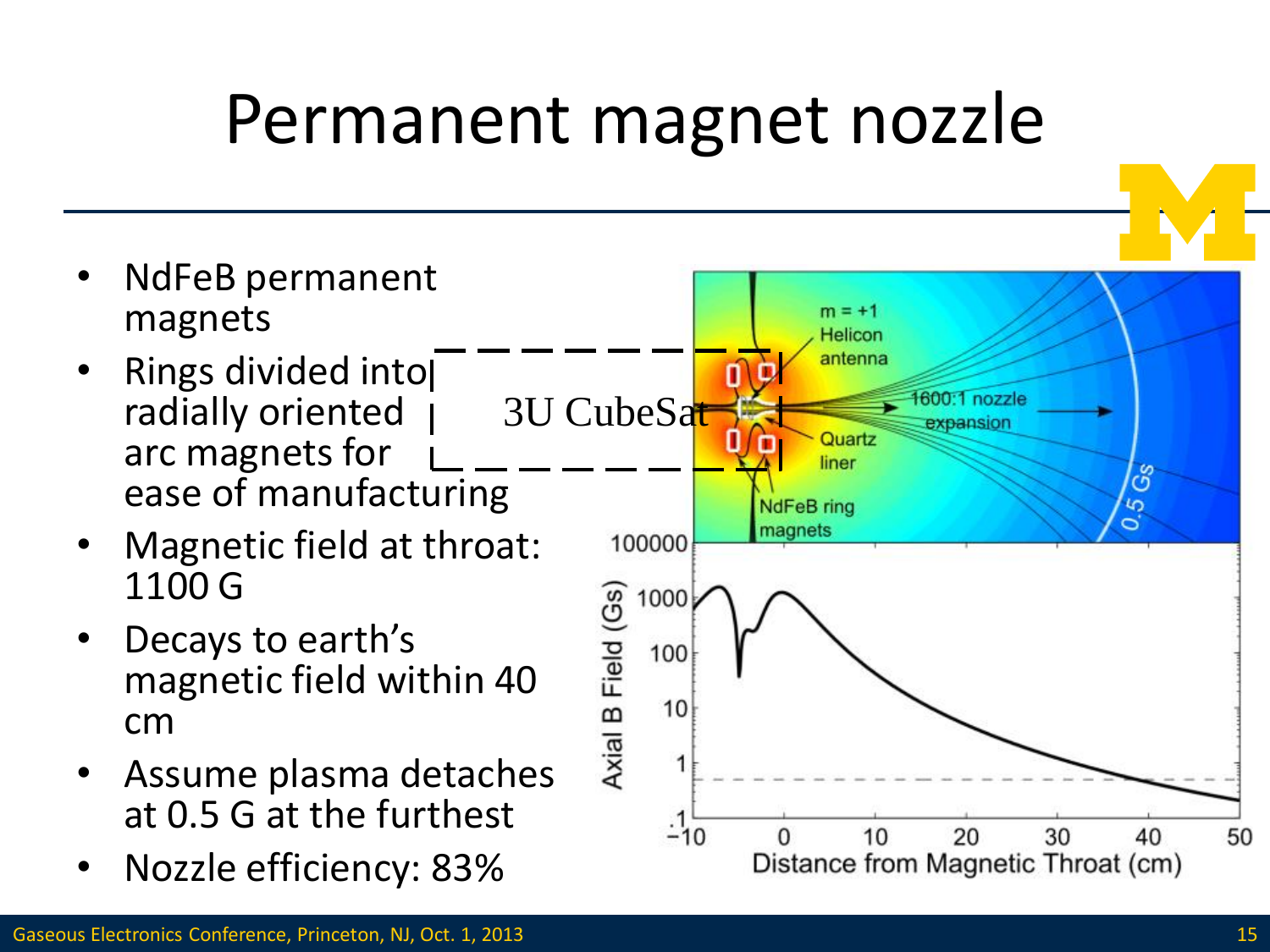#### Permanent magnet nozzle

- NdFeB permanent magnets
- Rings divided into radially oriented arc magnets for ease of manufacturing
- Magnetic field at throat: 1100 G
- Decays to earth's magnetic field within 40 cm
- Assume plasma detaches at 0.5 G at the furthest
- Nozzle efficiency: 83%

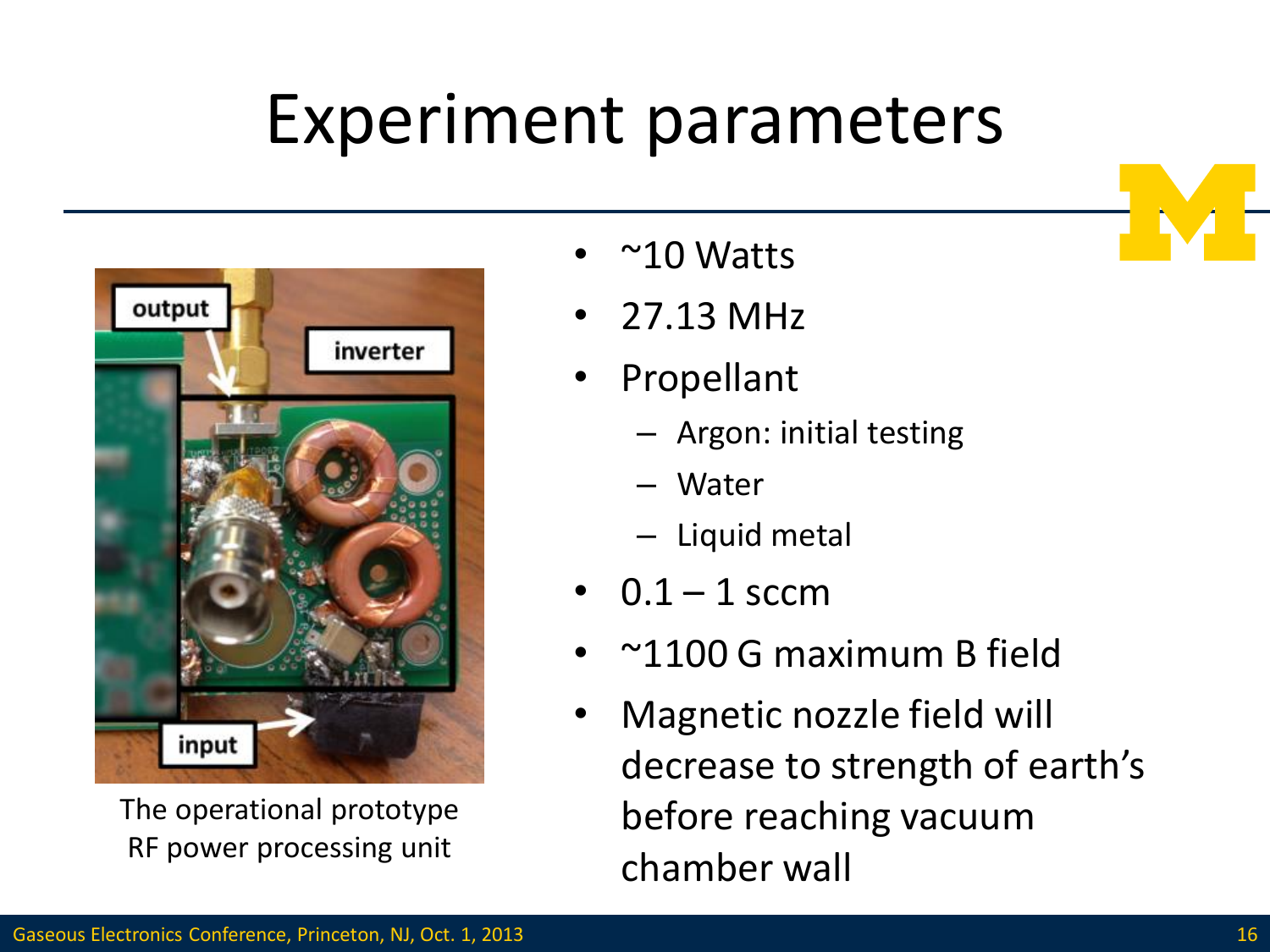#### Experiment parameters



The operational prototype RF power processing unit

- $\sim$ 10 Watts
- 27.13 MHz
- **Propellant** 
	- Argon: initial testing
	- Water
	- Liquid metal
- $0.1 1$  sccm
- ~1100 G maximum B field
- Magnetic nozzle field will decrease to strength of earth's before reaching vacuum chamber wall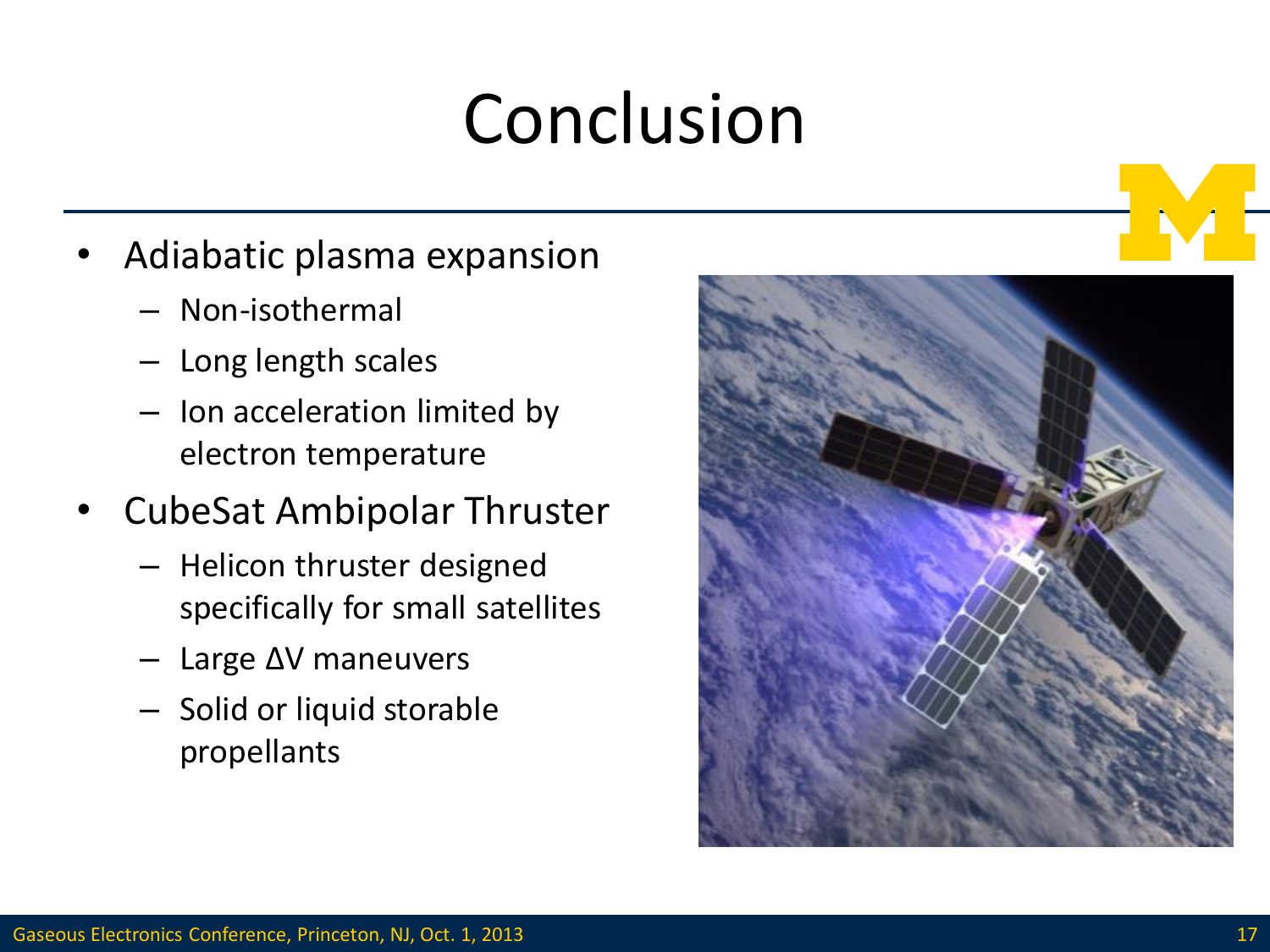### Conclusion

- Adiabatic plasma expansion
	- Non-isothermal
	- Long length scales
	- Ion acceleration limited by electron temperature
- CubeSat Ambipolar Thruster
	- Helicon thruster designed specifically for small satellites
	- Large ΔV maneuvers
	- Solid or liquid storable propellants